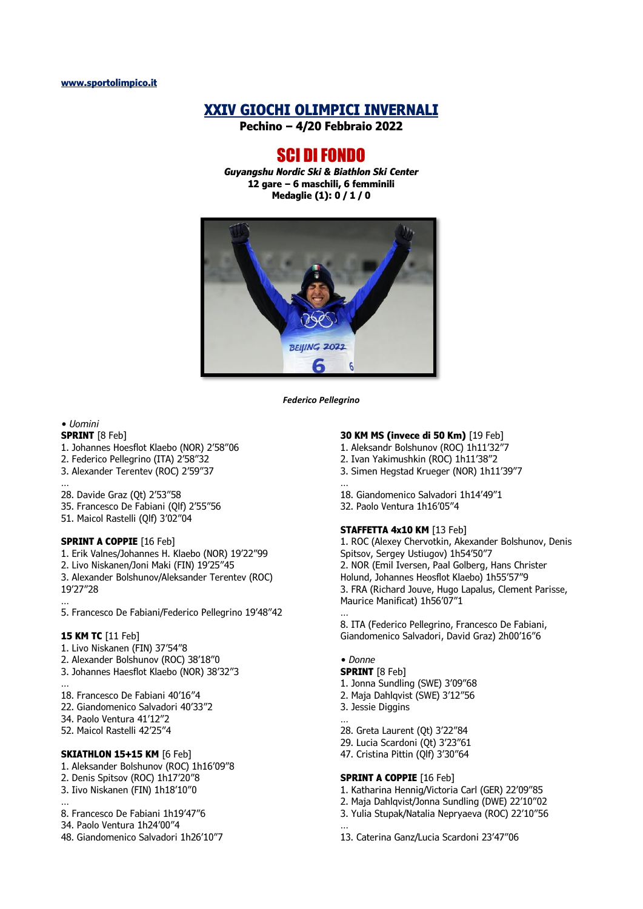# **XXIV GIOCHI OLIMPICI INVERNALI**

**Pechino – 4/20 Febbraio 2022**

# SCI DI FONDO

*Guyangshu Nordic Ski & Biathlon Ski Center* **12 gare – 6 maschili, 6 femminili Medaglie (1): 0 / 1 / 0**



*Federico Pellegrino*

#### *• Uomini*

- **SPRINT** [8 Feb]
- 1. Johannes Hoesflot Klaebo (NOR) 2'58"06
- 2. Federico Pellegrino (ITA) 2'58"32
- 3. Alexander Terentev (ROC) 2'59"37
- … 28. Davide Graz (Qt) 2'53"58
- 35. Francesco De Fabiani (Qlf) 2'55"56
- 51. Maicol Rastelli (Qlf) 3'02"04

#### **SPRINT A COPPIE** [16 Feb]

- 1. Erik Valnes/Johannes H. Klaebo (NOR) 19'22"99
- 2. Livo Niskanen/Joni Maki (FIN) 19'25"45
- 3. Alexander Bolshunov/Aleksander Terentev (ROC) 19'27"28

… 5. Francesco De Fabiani/Federico Pellegrino 19'48"42

#### **15 KM TC** [11 Feb]

- 1. Livo Niskanen (FIN) 37'54"8
- 2. Alexander Bolshunov (ROC) 38'18"0
- 3. Johannes Haesflot Klaebo (NOR) 38'32"3
- … 18. Francesco De Fabiani 40'16"4
- 22. Giandomenico Salvadori 40'33"2
- 34. Paolo Ventura 41'12"2
- 52. Maicol Rastelli 42'25"4

#### **SKIATHLON 15+15 KM [6 Feb]**

- 1. Aleksander Bolshunov (ROC) 1h16'09"8
- 2. Denis Spitsov (ROC) 1h17'20"8
- 3. Iivo Niskanen (FIN) 1h18'10"0
- … 8. Francesco De Fabiani 1h19'47"6
- 34. Paolo Ventura 1h24'00"4
- 48. Giandomenico Salvadori 1h26'10"7

## **30 KM MS (invece di 50 Km)** [19 Feb]

- 1. Aleksandr Bolshunov (ROC) 1h11'32"7
- 2. Ivan Yakimushkin (ROC) 1h11'38"2
- 3. Simen Hegstad Krueger (NOR) 1h11'39"7
- … 18. Giandomenico Salvadori 1h14'49"1
- 32. Paolo Ventura 1h16'05"4

## **STAFFETTA 4x10 KM** [13 Feb]

1. ROC (Alexey Chervotkin, Akexander Bolshunov, Denis Spitsov, Sergey Ustiugov) 1h54'50"7 2. NOR (Emil Iversen, Paal Golberg, Hans Christer Holund, Johannes Heosflot Klaebo) 1h55'57"9 3. FRA (Richard Jouve, Hugo Lapalus, Clement Parisse, Maurice Manificat) 1h56'07"1

8. ITA (Federico Pellegrino, Francesco De Fabiani, Giandomenico Salvadori, David Graz) 2h00'16"6

#### *• Donne*

…

…

**SPRINT** [8 Feb] 1. Jonna Sundling (SWE) 3'09"68 2. Maja Dahlqvist (SWE) 3'12"56 3. Jessie Diggins

… 28. Greta Laurent (Qt) 3'22"84

- 29. Lucia Scardoni (Qt) 3'23"61
- 47. Cristina Pittin (Qlf) 3'30"64

#### **SPRINT A COPPIE** [16 Feb]

- 1. Katharina Hennig/Victoria Carl (GER) 22'09"85
- 2. Maja Dahlqvist/Jonna Sundling (DWE) 22'10"02
- 3. Yulia Stupak/Natalia Nepryaeva (ROC) 22'10"56

13. Caterina Ganz/Lucia Scardoni 23'47"06